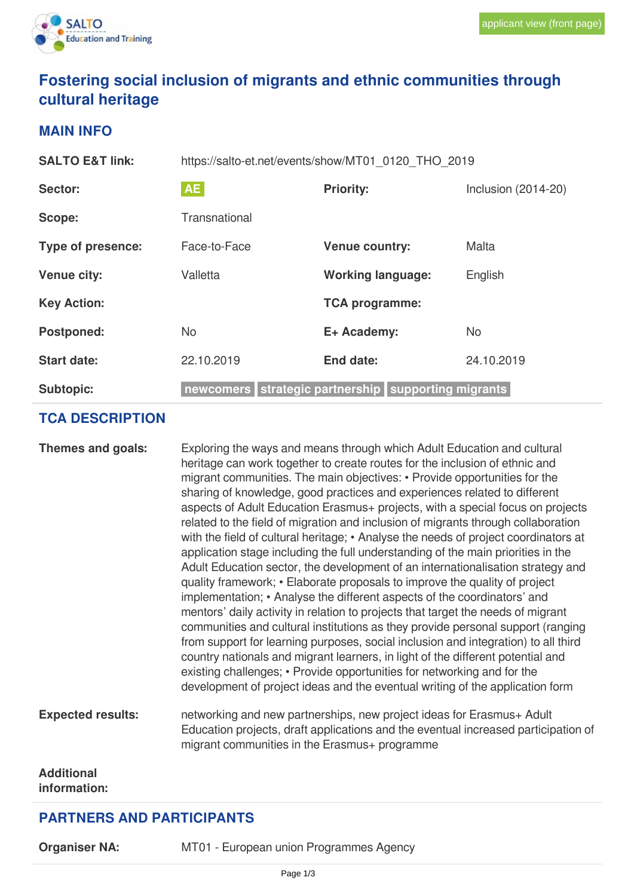# **Fostering social inclusion of migrants and ethnic communities through cultural heritage**

#### **MAIN INFO**

| <b>SALTO E&amp;T link:</b> | https://salto-et.net/events/show/MT01_0120_THO_2019 |                                                     |                     |  |
|----------------------------|-----------------------------------------------------|-----------------------------------------------------|---------------------|--|
| Sector:                    | <b>AE</b>                                           | <b>Priority:</b>                                    | Inclusion (2014-20) |  |
| Scope:                     | Transnational                                       |                                                     |                     |  |
| Type of presence:          | Face-to-Face                                        | <b>Venue country:</b>                               | Malta               |  |
| <b>Venue city:</b>         | Valletta                                            | <b>Working language:</b>                            | English             |  |
| <b>Key Action:</b>         |                                                     | <b>TCA programme:</b>                               |                     |  |
| <b>Postponed:</b>          | <b>No</b>                                           | E+ Academy:                                         | <b>No</b>           |  |
| <b>Start date:</b>         | 22.10.2019                                          | End date:                                           | 24.10.2019          |  |
| <b>Subtopic:</b>           |                                                     | newcomers strategic partnership supporting migrants |                     |  |

## **TCA DESCRIPTION**

|                                   | aspects of Adult Education Erasmus+ projects, with a special focus on projects<br>related to the field of migration and inclusion of migrants through collaboration<br>with the field of cultural heritage; • Analyse the needs of project coordinators at<br>application stage including the full understanding of the main priorities in the<br>Adult Education sector, the development of an internationalisation strategy and<br>quality framework; • Elaborate proposals to improve the quality of project<br>implementation; • Analyse the different aspects of the coordinators' and<br>mentors' daily activity in relation to projects that target the needs of migrant<br>communities and cultural institutions as they provide personal support (ranging<br>from support for learning purposes, social inclusion and integration) to all third<br>country nationals and migrant learners, in light of the different potential and<br>existing challenges; • Provide opportunities for networking and for the<br>development of project ideas and the eventual writing of the application form |
|-----------------------------------|---------------------------------------------------------------------------------------------------------------------------------------------------------------------------------------------------------------------------------------------------------------------------------------------------------------------------------------------------------------------------------------------------------------------------------------------------------------------------------------------------------------------------------------------------------------------------------------------------------------------------------------------------------------------------------------------------------------------------------------------------------------------------------------------------------------------------------------------------------------------------------------------------------------------------------------------------------------------------------------------------------------------------------------------------------------------------------------------------------|
| <b>Expected results:</b>          | networking and new partnerships, new project ideas for Erasmus+ Adult<br>Education projects, draft applications and the eventual increased participation of<br>migrant communities in the Erasmus+ programme                                                                                                                                                                                                                                                                                                                                                                                                                                                                                                                                                                                                                                                                                                                                                                                                                                                                                            |
| <b>Additional</b><br>information: |                                                                                                                                                                                                                                                                                                                                                                                                                                                                                                                                                                                                                                                                                                                                                                                                                                                                                                                                                                                                                                                                                                         |

### **PARTNERS AND PARTICIPANTS**

| <b>Organiser NA:</b> |  |
|----------------------|--|
|----------------------|--|

**MT01 - European union Programmes Agency**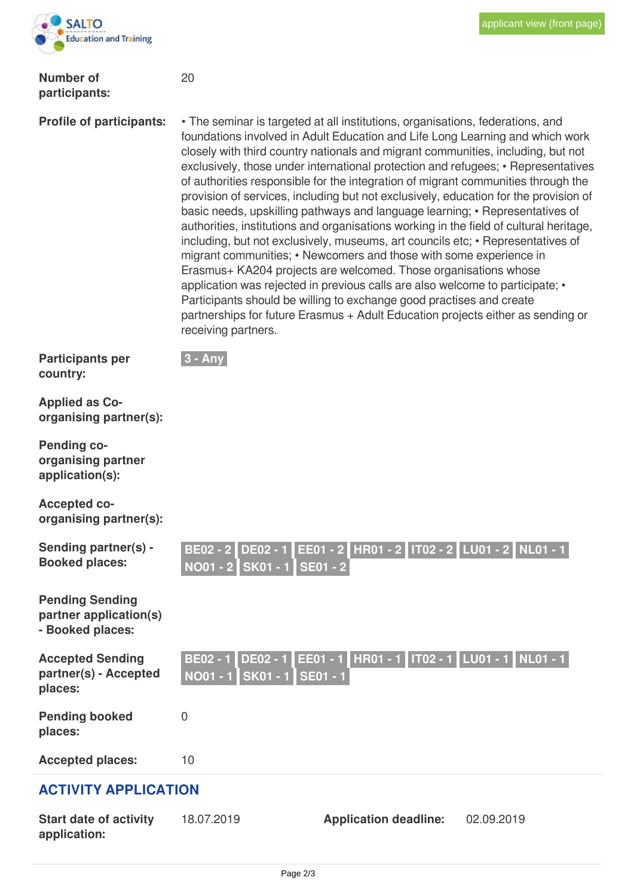

#### **Number of participants:**

20

**Profile of participants:** • The seminar is targeted at all institutions, organisations, federations, and foundations involved in Adult Education and Life Long Learning and which work closely with third country nationals and migrant communities, including, but not exclusively, those under international protection and refugees; • Representatives of authorities responsible for the integration of migrant communities through the provision of services, including but not exclusively, education for the provision of basic needs, upskilling pathways and language learning; • Representatives of authorities, institutions and organisations working in the field of cultural heritage, including, but not exclusively, museums, art councils etc; • Representatives of migrant communities; • Newcomers and those with some experience in Erasmus+ KA204 projects are welcomed. Those organisations whose application was rejected in previous calls are also welcome to participate; • Participants should be willing to exchange good practises and create partnerships for future Erasmus + Adult Education projects either as sending or receiving partners.

**Participants per country:**



**Applied as Coorganising partner(s):**

**Pending coorganising partner application(s):**

**Accepted coorganising partner(s):**

| Sending partner(s) -<br><b>Booked places:</b>                        | NO01 - 2 SK01 - 1 SE01 - 2                                       | BE02 - 2 DE02 - 1 EE01 - 2 HR01 - 2 IT02 - 2 LU01 - 2 NL01 - 1 |            |  |  |
|----------------------------------------------------------------------|------------------------------------------------------------------|----------------------------------------------------------------|------------|--|--|
| <b>Pending Sending</b><br>partner application(s)<br>- Booked places: |                                                                  |                                                                |            |  |  |
| <b>Accepted Sending</b><br>partner(s) - Accepted<br>places:          | <b>DE02 - 1</b><br><b>BE02 - 1</b><br>NO01 - 1 SK01 - 1 SE01 - 1 | EE01 - 1 HR01 - 1   IT02 - 1   LU01 - 1   NL01 - 1             |            |  |  |
| <b>Pending booked</b><br>places:                                     | 0                                                                |                                                                |            |  |  |
| <b>Accepted places:</b>                                              | 10                                                               |                                                                |            |  |  |
| <b>ACTIVITY APPLICATION</b>                                          |                                                                  |                                                                |            |  |  |
| <b>Start date of activity</b><br>application:                        | 18.07.2019                                                       | <b>Application deadline:</b>                                   | 02.09.2019 |  |  |